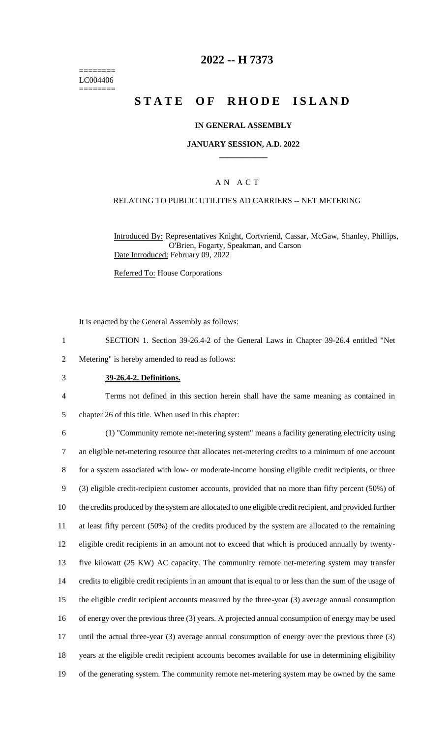======== LC004406 ========

## **2022 -- H 7373**

# **STATE OF RHODE ISLAND**

#### **IN GENERAL ASSEMBLY**

#### **JANUARY SESSION, A.D. 2022 \_\_\_\_\_\_\_\_\_\_\_\_**

### A N A C T

### RELATING TO PUBLIC UTILITIES AD CARRIERS -- NET METERING

Introduced By: Representatives Knight, Cortvriend, Cassar, McGaw, Shanley, Phillips, O'Brien, Fogarty, Speakman, and Carson Date Introduced: February 09, 2022

Referred To: House Corporations

It is enacted by the General Assembly as follows:

1 SECTION 1. Section 39-26.4-2 of the General Laws in Chapter 39-26.4 entitled "Net

2 Metering" is hereby amended to read as follows:

3 **39-26.4-2. Definitions.**

4 Terms not defined in this section herein shall have the same meaning as contained in 5 chapter 26 of this title. When used in this chapter:

 (1) "Community remote net-metering system" means a facility generating electricity using an eligible net-metering resource that allocates net-metering credits to a minimum of one account for a system associated with low- or moderate-income housing eligible credit recipients, or three (3) eligible credit-recipient customer accounts, provided that no more than fifty percent (50%) of the credits produced by the system are allocated to one eligible credit recipient, and provided further at least fifty percent (50%) of the credits produced by the system are allocated to the remaining eligible credit recipients in an amount not to exceed that which is produced annually by twenty- five kilowatt (25 KW) AC capacity. The community remote net-metering system may transfer credits to eligible credit recipients in an amount that is equal to or less than the sum of the usage of the eligible credit recipient accounts measured by the three-year (3) average annual consumption of energy over the previous three (3) years. A projected annual consumption of energy may be used 17 until the actual three-year (3) average annual consumption of energy over the previous three (3) years at the eligible credit recipient accounts becomes available for use in determining eligibility of the generating system. The community remote net-metering system may be owned by the same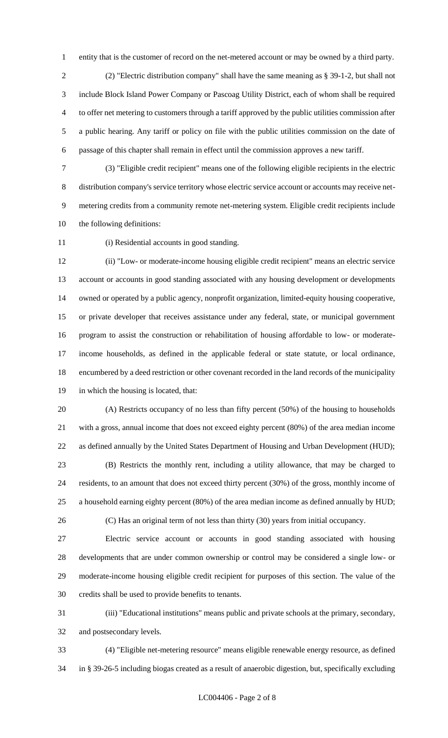entity that is the customer of record on the net-metered account or may be owned by a third party.

 (2) "Electric distribution company" shall have the same meaning as § 39-1-2, but shall not include Block Island Power Company or Pascoag Utility District, each of whom shall be required to offer net metering to customers through a tariff approved by the public utilities commission after a public hearing. Any tariff or policy on file with the public utilities commission on the date of passage of this chapter shall remain in effect until the commission approves a new tariff.

 (3) "Eligible credit recipient" means one of the following eligible recipients in the electric distribution company's service territory whose electric service account or accounts may receive net- metering credits from a community remote net-metering system. Eligible credit recipients include the following definitions:

(i) Residential accounts in good standing.

 (ii) "Low- or moderate-income housing eligible credit recipient" means an electric service account or accounts in good standing associated with any housing development or developments owned or operated by a public agency, nonprofit organization, limited-equity housing cooperative, or private developer that receives assistance under any federal, state, or municipal government program to assist the construction or rehabilitation of housing affordable to low- or moderate- income households, as defined in the applicable federal or state statute, or local ordinance, encumbered by a deed restriction or other covenant recorded in the land records of the municipality in which the housing is located, that:

 (A) Restricts occupancy of no less than fifty percent (50%) of the housing to households with a gross, annual income that does not exceed eighty percent (80%) of the area median income as defined annually by the United States Department of Housing and Urban Development (HUD); (B) Restricts the monthly rent, including a utility allowance, that may be charged to

 residents, to an amount that does not exceed thirty percent (30%) of the gross, monthly income of a household earning eighty percent (80%) of the area median income as defined annually by HUD;

(C) Has an original term of not less than thirty (30) years from initial occupancy.

 Electric service account or accounts in good standing associated with housing developments that are under common ownership or control may be considered a single low- or moderate-income housing eligible credit recipient for purposes of this section. The value of the credits shall be used to provide benefits to tenants.

 (iii) "Educational institutions" means public and private schools at the primary, secondary, and postsecondary levels.

 (4) "Eligible net-metering resource" means eligible renewable energy resource, as defined in § 39-26-5 including biogas created as a result of anaerobic digestion, but, specifically excluding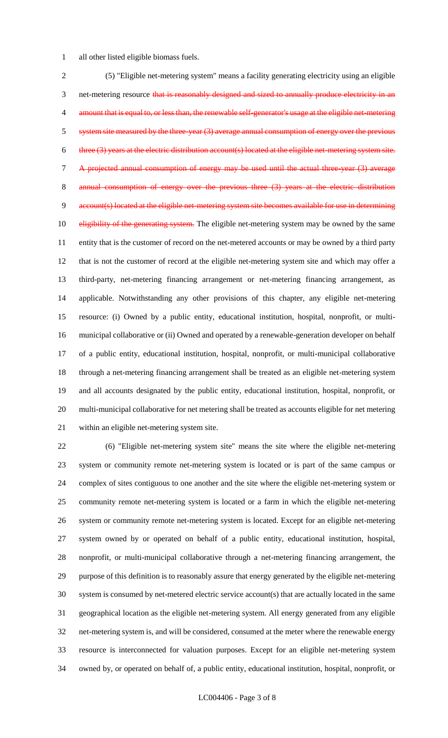all other listed eligible biomass fuels.

 (5) "Eligible net-metering system" means a facility generating electricity using an eligible 3 net-metering resource that is reasonably designed and sized to annually produce electricity in an 4 amount that is equal to, or less than, the renewable self-generator's usage at the eligible net-metering 5 system site measured by the three-year (3) average annual consumption of energy over the previous 6 three (3) years at the electric distribution account(s) located at the eligible net-metering system site. A projected annual consumption of energy may be used until the actual three-year (3) average 8 annual consumption of energy over the previous three (3) years at the account(s) located at the eligible net-metering system site becomes available for use in determining 10 eligibility of the generating system. The eligible net-metering system may be owned by the same entity that is the customer of record on the net-metered accounts or may be owned by a third party that is not the customer of record at the eligible net-metering system site and which may offer a third-party, net-metering financing arrangement or net-metering financing arrangement, as applicable. Notwithstanding any other provisions of this chapter, any eligible net-metering resource: (i) Owned by a public entity, educational institution, hospital, nonprofit, or multi- municipal collaborative or (ii) Owned and operated by a renewable-generation developer on behalf of a public entity, educational institution, hospital, nonprofit, or multi-municipal collaborative through a net-metering financing arrangement shall be treated as an eligible net-metering system and all accounts designated by the public entity, educational institution, hospital, nonprofit, or multi-municipal collaborative for net metering shall be treated as accounts eligible for net metering within an eligible net-metering system site.

 (6) "Eligible net-metering system site" means the site where the eligible net-metering system or community remote net-metering system is located or is part of the same campus or complex of sites contiguous to one another and the site where the eligible net-metering system or community remote net-metering system is located or a farm in which the eligible net-metering system or community remote net-metering system is located. Except for an eligible net-metering system owned by or operated on behalf of a public entity, educational institution, hospital, nonprofit, or multi-municipal collaborative through a net-metering financing arrangement, the purpose of this definition is to reasonably assure that energy generated by the eligible net-metering system is consumed by net-metered electric service account(s) that are actually located in the same geographical location as the eligible net-metering system. All energy generated from any eligible net-metering system is, and will be considered, consumed at the meter where the renewable energy resource is interconnected for valuation purposes. Except for an eligible net-metering system owned by, or operated on behalf of, a public entity, educational institution, hospital, nonprofit, or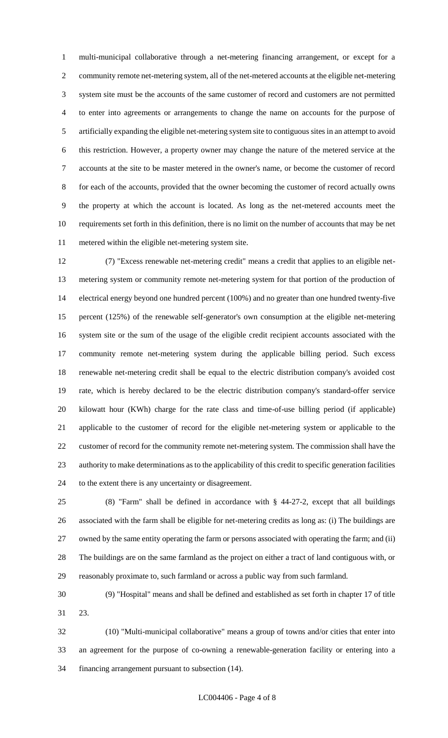multi-municipal collaborative through a net-metering financing arrangement, or except for a community remote net-metering system, all of the net-metered accounts at the eligible net-metering system site must be the accounts of the same customer of record and customers are not permitted to enter into agreements or arrangements to change the name on accounts for the purpose of artificially expanding the eligible net-metering system site to contiguous sites in an attempt to avoid this restriction. However, a property owner may change the nature of the metered service at the accounts at the site to be master metered in the owner's name, or become the customer of record for each of the accounts, provided that the owner becoming the customer of record actually owns the property at which the account is located. As long as the net-metered accounts meet the requirements set forth in this definition, there is no limit on the number of accounts that may be net metered within the eligible net-metering system site.

 (7) "Excess renewable net-metering credit" means a credit that applies to an eligible net- metering system or community remote net-metering system for that portion of the production of electrical energy beyond one hundred percent (100%) and no greater than one hundred twenty-five percent (125%) of the renewable self-generator's own consumption at the eligible net-metering system site or the sum of the usage of the eligible credit recipient accounts associated with the community remote net-metering system during the applicable billing period. Such excess renewable net-metering credit shall be equal to the electric distribution company's avoided cost rate, which is hereby declared to be the electric distribution company's standard-offer service kilowatt hour (KWh) charge for the rate class and time-of-use billing period (if applicable) applicable to the customer of record for the eligible net-metering system or applicable to the customer of record for the community remote net-metering system. The commission shall have the authority to make determinations as to the applicability of this credit to specific generation facilities to the extent there is any uncertainty or disagreement.

 (8) "Farm" shall be defined in accordance with § 44-27-2, except that all buildings associated with the farm shall be eligible for net-metering credits as long as: (i) The buildings are owned by the same entity operating the farm or persons associated with operating the farm; and (ii) The buildings are on the same farmland as the project on either a tract of land contiguous with, or reasonably proximate to, such farmland or across a public way from such farmland.

 (9) "Hospital" means and shall be defined and established as set forth in chapter 17 of title 23.

 (10) "Multi-municipal collaborative" means a group of towns and/or cities that enter into an agreement for the purpose of co-owning a renewable-generation facility or entering into a financing arrangement pursuant to subsection (14).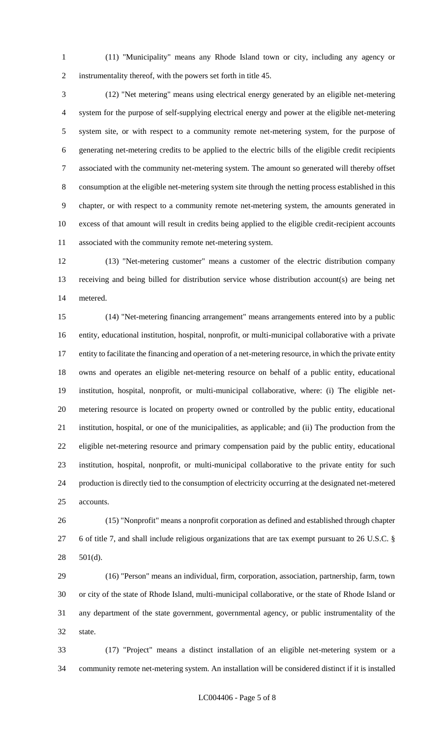(11) "Municipality" means any Rhode Island town or city, including any agency or instrumentality thereof, with the powers set forth in title 45.

 (12) "Net metering" means using electrical energy generated by an eligible net-metering system for the purpose of self-supplying electrical energy and power at the eligible net-metering system site, or with respect to a community remote net-metering system, for the purpose of generating net-metering credits to be applied to the electric bills of the eligible credit recipients associated with the community net-metering system. The amount so generated will thereby offset consumption at the eligible net-metering system site through the netting process established in this chapter, or with respect to a community remote net-metering system, the amounts generated in excess of that amount will result in credits being applied to the eligible credit-recipient accounts associated with the community remote net-metering system.

 (13) "Net-metering customer" means a customer of the electric distribution company receiving and being billed for distribution service whose distribution account(s) are being net metered.

 (14) "Net-metering financing arrangement" means arrangements entered into by a public entity, educational institution, hospital, nonprofit, or multi-municipal collaborative with a private entity to facilitate the financing and operation of a net-metering resource, in which the private entity owns and operates an eligible net-metering resource on behalf of a public entity, educational institution, hospital, nonprofit, or multi-municipal collaborative, where: (i) The eligible net- metering resource is located on property owned or controlled by the public entity, educational institution, hospital, or one of the municipalities, as applicable; and (ii) The production from the eligible net-metering resource and primary compensation paid by the public entity, educational institution, hospital, nonprofit, or multi-municipal collaborative to the private entity for such production is directly tied to the consumption of electricity occurring at the designated net-metered accounts.

 (15) "Nonprofit" means a nonprofit corporation as defined and established through chapter 6 of title 7, and shall include religious organizations that are tax exempt pursuant to 26 U.S.C. § 501(d).

 (16) "Person" means an individual, firm, corporation, association, partnership, farm, town or city of the state of Rhode Island, multi-municipal collaborative, or the state of Rhode Island or any department of the state government, governmental agency, or public instrumentality of the state.

 (17) "Project" means a distinct installation of an eligible net-metering system or a community remote net-metering system. An installation will be considered distinct if it is installed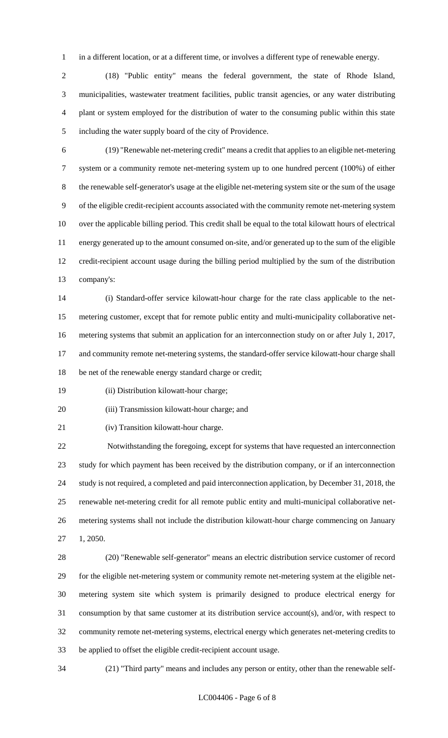in a different location, or at a different time, or involves a different type of renewable energy.

 (18) "Public entity" means the federal government, the state of Rhode Island, municipalities, wastewater treatment facilities, public transit agencies, or any water distributing plant or system employed for the distribution of water to the consuming public within this state including the water supply board of the city of Providence.

 (19) "Renewable net-metering credit" means a credit that applies to an eligible net-metering system or a community remote net-metering system up to one hundred percent (100%) of either the renewable self-generator's usage at the eligible net-metering system site or the sum of the usage of the eligible credit-recipient accounts associated with the community remote net-metering system over the applicable billing period. This credit shall be equal to the total kilowatt hours of electrical energy generated up to the amount consumed on-site, and/or generated up to the sum of the eligible credit-recipient account usage during the billing period multiplied by the sum of the distribution company's:

 (i) Standard-offer service kilowatt-hour charge for the rate class applicable to the net- metering customer, except that for remote public entity and multi-municipality collaborative net- metering systems that submit an application for an interconnection study on or after July 1, 2017, and community remote net-metering systems, the standard-offer service kilowatt-hour charge shall be net of the renewable energy standard charge or credit;

(ii) Distribution kilowatt-hour charge;

(iii) Transmission kilowatt-hour charge; and

(iv) Transition kilowatt-hour charge.

 Notwithstanding the foregoing, except for systems that have requested an interconnection study for which payment has been received by the distribution company, or if an interconnection study is not required, a completed and paid interconnection application, by December 31, 2018, the renewable net-metering credit for all remote public entity and multi-municipal collaborative net- metering systems shall not include the distribution kilowatt-hour charge commencing on January 1, 2050.

 (20) "Renewable self-generator" means an electric distribution service customer of record for the eligible net-metering system or community remote net-metering system at the eligible net- metering system site which system is primarily designed to produce electrical energy for consumption by that same customer at its distribution service account(s), and/or, with respect to community remote net-metering systems, electrical energy which generates net-metering credits to be applied to offset the eligible credit-recipient account usage.

(21) "Third party" means and includes any person or entity, other than the renewable self-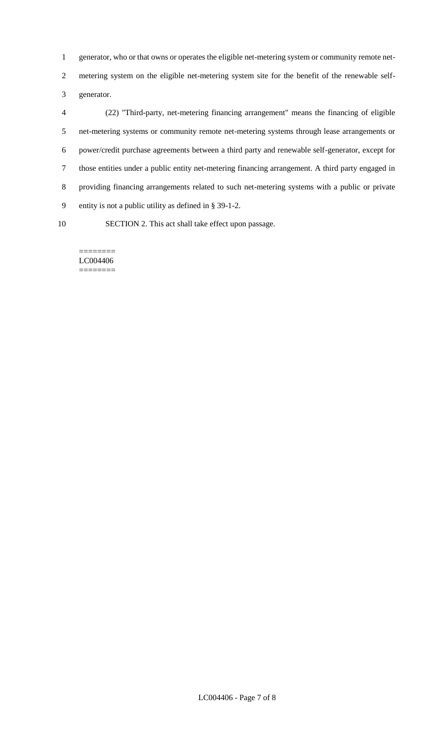generator, who or that owns or operates the eligible net-metering system or community remote net-

 metering system on the eligible net-metering system site for the benefit of the renewable self-generator.

 (22) "Third-party, net-metering financing arrangement" means the financing of eligible net-metering systems or community remote net-metering systems through lease arrangements or power/credit purchase agreements between a third party and renewable self-generator, except for those entities under a public entity net-metering financing arrangement. A third party engaged in providing financing arrangements related to such net-metering systems with a public or private entity is not a public utility as defined in § 39-1-2.

SECTION 2. This act shall take effect upon passage.

#### ======== LC004406 ========